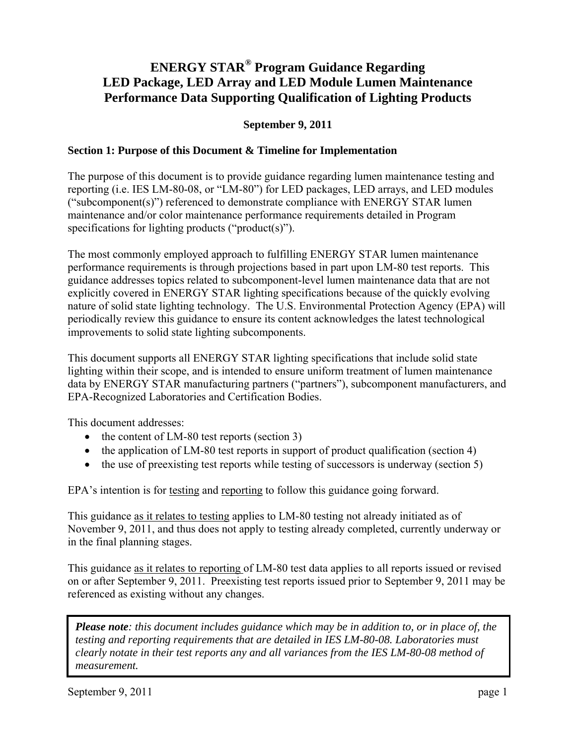# **ENERGY STAR® Program Guidance Regarding LED Package, LED Array and LED Module Lumen Maintenance Performance Data Supporting Qualification of Lighting Products**

## **September 9, 2011**

## **Section 1: Purpose of this Document & Timeline for Implementation**

The purpose of this document is to provide guidance regarding lumen maintenance testing and reporting (i.e. IES LM-80-08, or "LM-80") for LED packages, LED arrays, and LED modules ("subcomponent(s)") referenced to demonstrate compliance with ENERGY STAR lumen maintenance and/or color maintenance performance requirements detailed in Program specifications for lighting products ("product(s)").

The most commonly employed approach to fulfilling ENERGY STAR lumen maintenance performance requirements is through projections based in part upon LM-80 test reports. This guidance addresses topics related to subcomponent-level lumen maintenance data that are not explicitly covered in ENERGY STAR lighting specifications because of the quickly evolving nature of solid state lighting technology. The U.S. Environmental Protection Agency (EPA) will periodically review this guidance to ensure its content acknowledges the latest technological improvements to solid state lighting subcomponents.

This document supports all ENERGY STAR lighting specifications that include solid state lighting within their scope, and is intended to ensure uniform treatment of lumen maintenance data by ENERGY STAR manufacturing partners ("partners"), subcomponent manufacturers, and EPA-Recognized Laboratories and Certification Bodies.

This document addresses:

- the content of LM-80 test reports (section 3)
- the application of LM-80 test reports in support of product qualification (section 4)
- the use of preexisting test reports while testing of successors is underway (section 5)

EPA's intention is for testing and reporting to follow this guidance going forward.

This guidance as it relates to testing applies to LM-80 testing not already initiated as of November 9, 2011, and thus does not apply to testing already completed, currently underway or in the final planning stages.

This guidance as it relates to reporting of LM-80 test data applies to all reports issued or revised on or after September 9, 2011. Preexisting test reports issued prior to September 9, 2011 may be referenced as existing without any changes.

*Please note: this document includes guidance which may be in addition to, or in place of, the testing and reporting requirements that are detailed in IES LM-80-08. Laboratories must clearly notate in their test reports any and all variances from the IES LM-80-08 method of measurement.*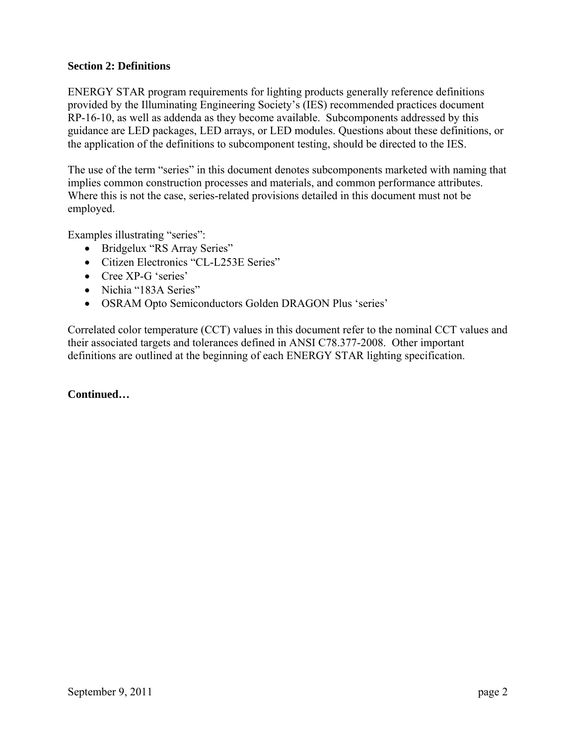## **Section 2: Definitions**

ENERGY STAR program requirements for lighting products generally reference definitions provided by the Illuminating Engineering Society's (IES) recommended practices document RP-16-10, as well as addenda as they become available. Subcomponents addressed by this guidance are LED packages, LED arrays, or LED modules. Questions about these definitions, or the application of the definitions to subcomponent testing, should be directed to the IES.

The use of the term "series" in this document denotes subcomponents marketed with naming that implies common construction processes and materials, and common performance attributes. Where this is not the case, series-related provisions detailed in this document must not be employed.

Examples illustrating "series":

- Bridgelux "RS Array Series"
- Citizen Electronics "CL-L253E Series"
- Cree XP-G 'series'
- Nichia "183A Series"
- OSRAM Opto Semiconductors Golden DRAGON Plus 'series'

Correlated color temperature (CCT) values in this document refer to the nominal CCT values and their associated targets and tolerances defined in ANSI C78.377-2008. Other important definitions are outlined at the beginning of each ENERGY STAR lighting specification.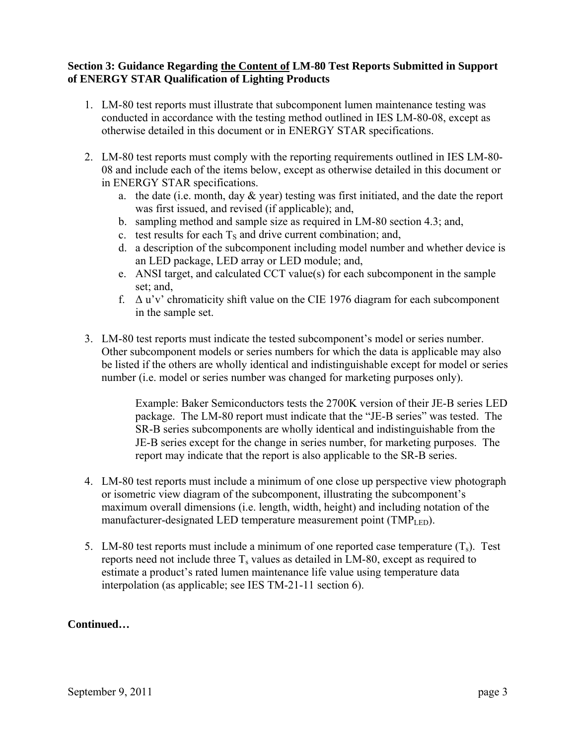## **Section 3: Guidance Regarding the Content of LM-80 Test Reports Submitted in Support of ENERGY STAR Qualification of Lighting Products**

- 1. LM-80 test reports must illustrate that subcomponent lumen maintenance testing was conducted in accordance with the testing method outlined in IES LM-80-08, except as otherwise detailed in this document or in ENERGY STAR specifications.
- 2. LM-80 test reports must comply with the reporting requirements outlined in IES LM-80- 08 and include each of the items below, except as otherwise detailed in this document or in ENERGY STAR specifications.
	- a. the date (i.e. month, day & year) testing was first initiated, and the date the report was first issued, and revised (if applicable); and,
	- b. sampling method and sample size as required in LM-80 section 4.3; and,
	- c. test results for each  $T<sub>S</sub>$  and drive current combination; and,
	- d. a description of the subcomponent including model number and whether device is an LED package, LED array or LED module; and,
	- e. ANSI target, and calculated CCT value(s) for each subcomponent in the sample set; and,
	- f.  $\Delta$  u'v' chromaticity shift value on the CIE 1976 diagram for each subcomponent in the sample set.
- 3. LM-80 test reports must indicate the tested subcomponent's model or series number. Other subcomponent models or series numbers for which the data is applicable may also be listed if the others are wholly identical and indistinguishable except for model or series number (i.e. model or series number was changed for marketing purposes only).

Example: Baker Semiconductors tests the 2700K version of their JE-B series LED package. The LM-80 report must indicate that the "JE-B series" was tested. The SR-B series subcomponents are wholly identical and indistinguishable from the JE-B series except for the change in series number, for marketing purposes. The report may indicate that the report is also applicable to the SR-B series.

- 4. LM-80 test reports must include a minimum of one close up perspective view photograph or isometric view diagram of the subcomponent, illustrating the subcomponent's maximum overall dimensions (i.e. length, width, height) and including notation of the manufacturer-designated LED temperature measurement point  $\text{(TMP}_{LED})$ .
- 5. LM-80 test reports must include a minimum of one reported case temperature  $(T_s)$ . Test reports need not include three  $T_s$  values as detailed in LM-80, except as required to estimate a product's rated lumen maintenance life value using temperature data interpolation (as applicable; see IES TM-21-11 section 6).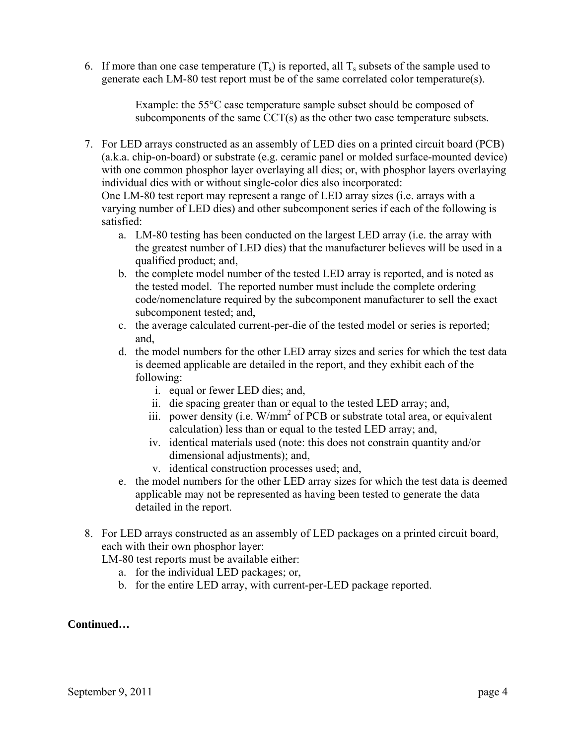6. If more than one case temperature  $(T_s)$  is reported, all  $T_s$  subsets of the sample used to generate each LM-80 test report must be of the same correlated color temperature(s).

> Example: the 55°C case temperature sample subset should be composed of subcomponents of the same CCT(s) as the other two case temperature subsets.

7. For LED arrays constructed as an assembly of LED dies on a printed circuit board (PCB) (a.k.a. chip-on-board) or substrate (e.g. ceramic panel or molded surface-mounted device) with one common phosphor layer overlaying all dies; or, with phosphor layers overlaying individual dies with or without single-color dies also incorporated:

One LM-80 test report may represent a range of LED array sizes (i.e. arrays with a varying number of LED dies) and other subcomponent series if each of the following is satisfied:

- a. LM-80 testing has been conducted on the largest LED array (i.e. the array with the greatest number of LED dies) that the manufacturer believes will be used in a qualified product; and,
- b. the complete model number of the tested LED array is reported, and is noted as the tested model. The reported number must include the complete ordering code/nomenclature required by the subcomponent manufacturer to sell the exact subcomponent tested; and,
- c. the average calculated current-per-die of the tested model or series is reported; and,
- d. the model numbers for the other LED array sizes and series for which the test data is deemed applicable are detailed in the report, and they exhibit each of the following:
	- i. equal or fewer LED dies; and,
	- ii. die spacing greater than or equal to the tested LED array; and,
	- iii. power density (i.e.  $W/mm^2$  of PCB or substrate total area, or equivalent calculation) less than or equal to the tested LED array; and,
	- iv. identical materials used (note: this does not constrain quantity and/or dimensional adjustments); and,
	- v. identical construction processes used; and,
- e. the model numbers for the other LED array sizes for which the test data is deemed applicable may not be represented as having been tested to generate the data detailed in the report.
- 8. For LED arrays constructed as an assembly of LED packages on a printed circuit board, each with their own phosphor layer:

LM-80 test reports must be available either:

- a. for the individual LED packages; or,
- b. for the entire LED array, with current-per-LED package reported.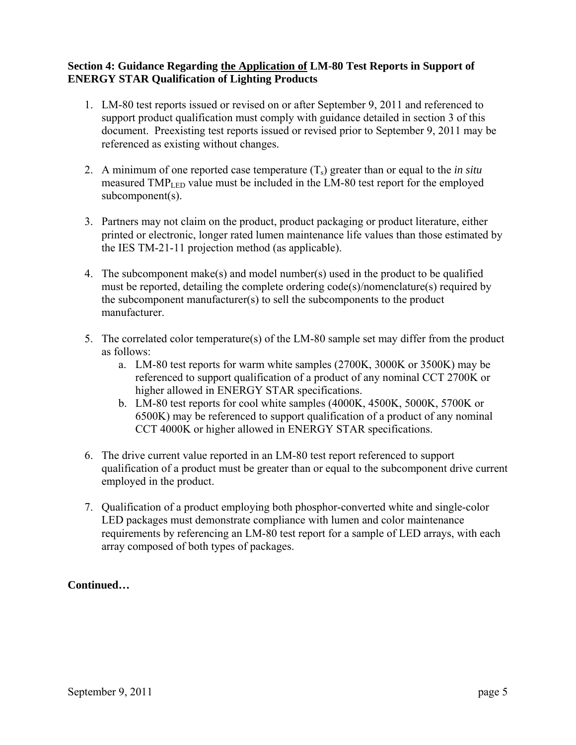## **Section 4: Guidance Regarding the Application of LM-80 Test Reports in Support of ENERGY STAR Qualification of Lighting Products**

- 1. LM-80 test reports issued or revised on or after September 9, 2011 and referenced to support product qualification must comply with guidance detailed in section 3 of this document. Preexisting test reports issued or revised prior to September 9, 2011 may be referenced as existing without changes.
- 2. A minimum of one reported case temperature  $(T_s)$  greater than or equal to the *in situ* measured  $TMP_{LED}$  value must be included in the LM-80 test report for the employed subcomponent(s).
- 3. Partners may not claim on the product, product packaging or product literature, either printed or electronic, longer rated lumen maintenance life values than those estimated by the IES TM-21-11 projection method (as applicable).
- 4. The subcomponent make(s) and model number(s) used in the product to be qualified must be reported, detailing the complete ordering code(s)/nomenclature(s) required by the subcomponent manufacturer(s) to sell the subcomponents to the product manufacturer.
- 5. The correlated color temperature(s) of the LM-80 sample set may differ from the product as follows:
	- a. LM-80 test reports for warm white samples (2700K, 3000K or 3500K) may be referenced to support qualification of a product of any nominal CCT 2700K or higher allowed in ENERGY STAR specifications.
	- b. LM-80 test reports for cool white samples (4000K, 4500K, 5000K, 5700K or 6500K) may be referenced to support qualification of a product of any nominal CCT 4000K or higher allowed in ENERGY STAR specifications.
- 6. The drive current value reported in an LM-80 test report referenced to support qualification of a product must be greater than or equal to the subcomponent drive current employed in the product.
- 7. Qualification of a product employing both phosphor-converted white and single-color LED packages must demonstrate compliance with lumen and color maintenance requirements by referencing an LM-80 test report for a sample of LED arrays, with each array composed of both types of packages.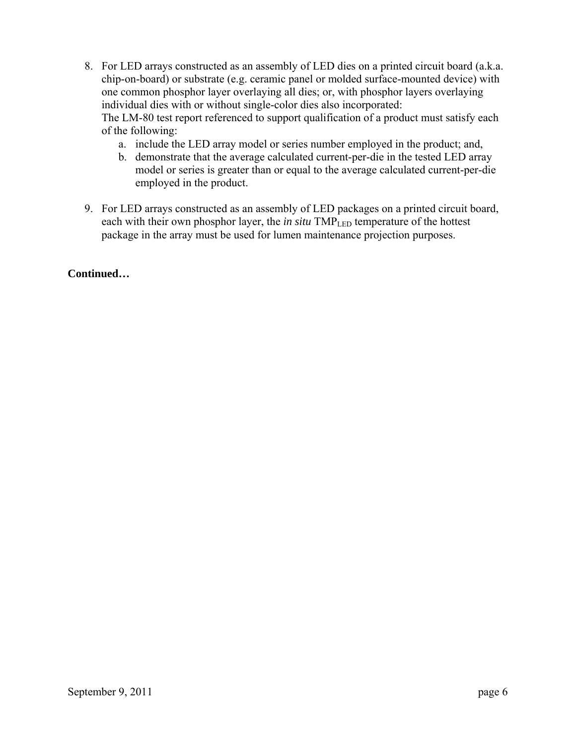- 8. For LED arrays constructed as an assembly of LED dies on a printed circuit board (a.k.a. chip-on-board) or substrate (e.g. ceramic panel or molded surface-mounted device) with one common phosphor layer overlaying all dies; or, with phosphor layers overlaying individual dies with or without single-color dies also incorporated: The LM-80 test report referenced to support qualification of a product must satisfy each of the following:
	- a. include the LED array model or series number employed in the product; and,
	- b. demonstrate that the average calculated current-per-die in the tested LED array model or series is greater than or equal to the average calculated current-per-die employed in the product.
- 9. For LED arrays constructed as an assembly of LED packages on a printed circuit board, each with their own phosphor layer, the *in situ* TMP<sub>LED</sub> temperature of the hottest package in the array must be used for lumen maintenance projection purposes.